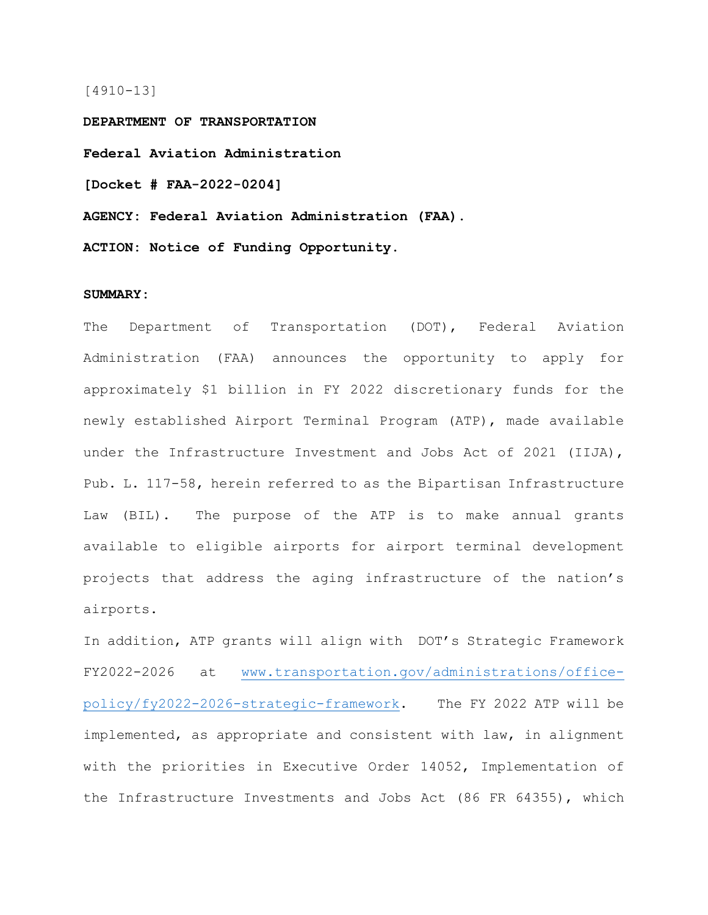### [4910-13]

**DEPARTMENT OF TRANSPORTATION Federal Aviation Administration [Docket # FAA-2022-0204] AGENCY: Federal Aviation Administration (FAA).**

**ACTION: Notice of Funding Opportunity.**

## **SUMMARY:**

The Department of Transportation (DOT), Federal Aviation Administration (FAA) announces the opportunity to apply for approximately \$1 billion in FY 2022 discretionary funds for the newly established Airport Terminal Program (ATP), made available under the Infrastructure Investment and Jobs Act of 2021 (IIJA), Pub. L. 117-58, herein referred to as the Bipartisan Infrastructure Law (BIL). The purpose of the ATP is to make annual grants available to eligible airports for airport terminal development projects that address the aging infrastructure of the nation's airports.

In addition, ATP grants will align with DOT's Strategic Framework FY2022-2026 at [www.transportation.gov/administrations/office](file://faa.gov/faafile/ARP/AWA/Common/B%20I%20L%20Team/Airport%20Terminal%20Program/NOFO/www.transportation.gov/administrations/office-policy/fy2022-2026-strategic-framework)[policy/fy2022-2026-strategic-framework.](file://faa.gov/faafile/ARP/AWA/Common/B%20I%20L%20Team/Airport%20Terminal%20Program/NOFO/www.transportation.gov/administrations/office-policy/fy2022-2026-strategic-framework) The FY 2022 ATP will be implemented, as appropriate and consistent with law, in alignment with the priorities in Executive Order 14052, Implementation of the Infrastructure Investments and Jobs Act (86 FR 64355), which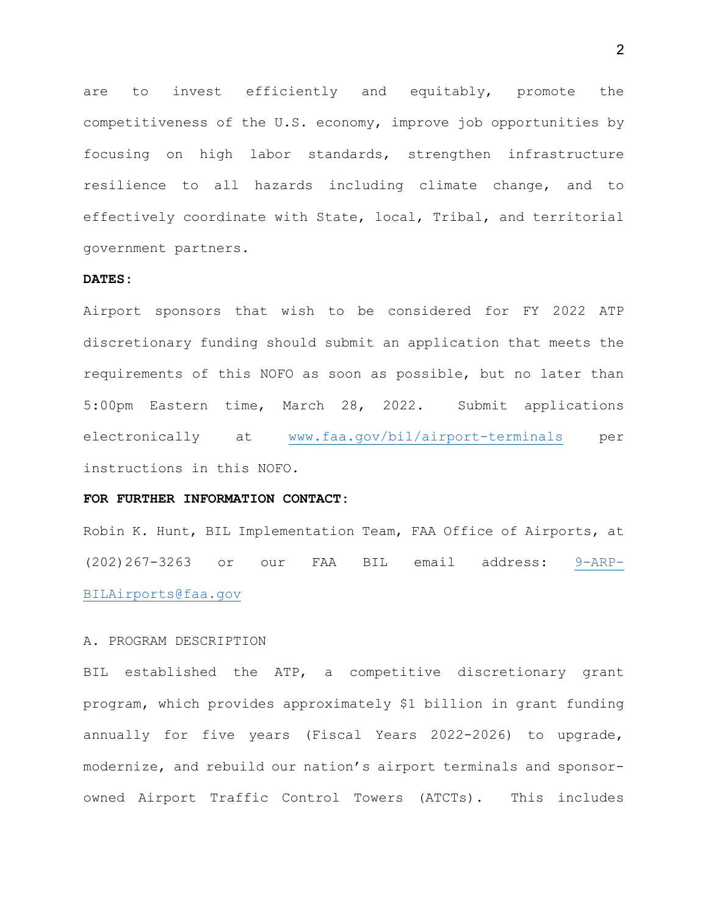are to invest efficiently and equitably, promote the competitiveness of the U.S. economy, improve job opportunities by focusing on high labor standards, strengthen infrastructure resilience to all hazards including climate change, and to effectively coordinate with State, local, Tribal, and territorial government partners.

## **DATES:**

Airport sponsors that wish to be considered for FY 2022 ATP discretionary funding should submit an application that meets the requirements of this NOFO as soon as possible, but no later than 5:00pm Eastern time, March 28, 2022. Submit applications electronically at [www.faa.gov/bil/airport-terminals](http://www.faa.gov/bil/airport-terminals) per instructions in this NOFO.

## **FOR FURTHER INFORMATION CONTACT:**

Robin K. Hunt, BIL Implementation Team, FAA Office of Airports, at (202)267-3263 or our FAA BIL email address: [9-ARP-](mailto:9-ARP-BILAirports@faa.gov)[BILAirports@faa.gov](mailto:9-ARP-BILAirports@faa.gov)

#### A. PROGRAM DESCRIPTION

BIL established the ATP, a competitive discretionary grant program, which provides approximately \$1 billion in grant funding annually for five years (Fiscal Years 2022-2026) to upgrade, modernize, and rebuild our nation's airport terminals and sponsorowned Airport Traffic Control Towers (ATCTs). This includes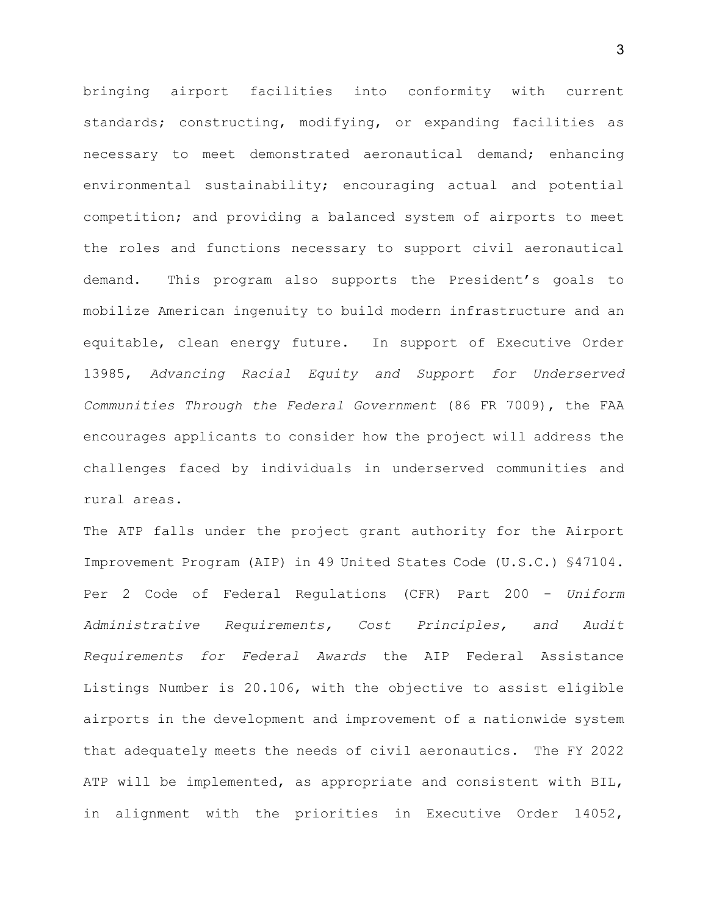bringing airport facilities into conformity with current standards; constructing, modifying, or expanding facilities as necessary to meet demonstrated aeronautical demand; enhancing environmental sustainability; encouraging actual and potential competition; and providing a balanced system of airports to meet the roles and functions necessary to support civil aeronautical demand. This program also supports the President's goals to mobilize American ingenuity to build modern infrastructure and an equitable, clean energy future. In support of Executive Order 13985, *Advancing Racial Equity and Support for Underserved Communities Through the Federal Government* (86 FR 7009), the FAA encourages applicants to consider how the project will address the challenges faced by individuals in underserved communities and rural areas.

The ATP falls under the project grant authority for the Airport Improvement Program (AIP) in 49 United States Code (U.S.C.) §47104. Per 2 Code of Federal Regulations (CFR) Part 200 - *Uniform Administrative Requirements, Cost Principles, and Audit Requirements for Federal Awards* the AIP Federal Assistance Listings Number is 20.106, with the objective to assist eligible airports in the development and improvement of a nationwide system that adequately meets the needs of civil aeronautics. The FY 2022 ATP will be implemented, as appropriate and consistent with BIL, in alignment with the priorities in Executive Order 14052,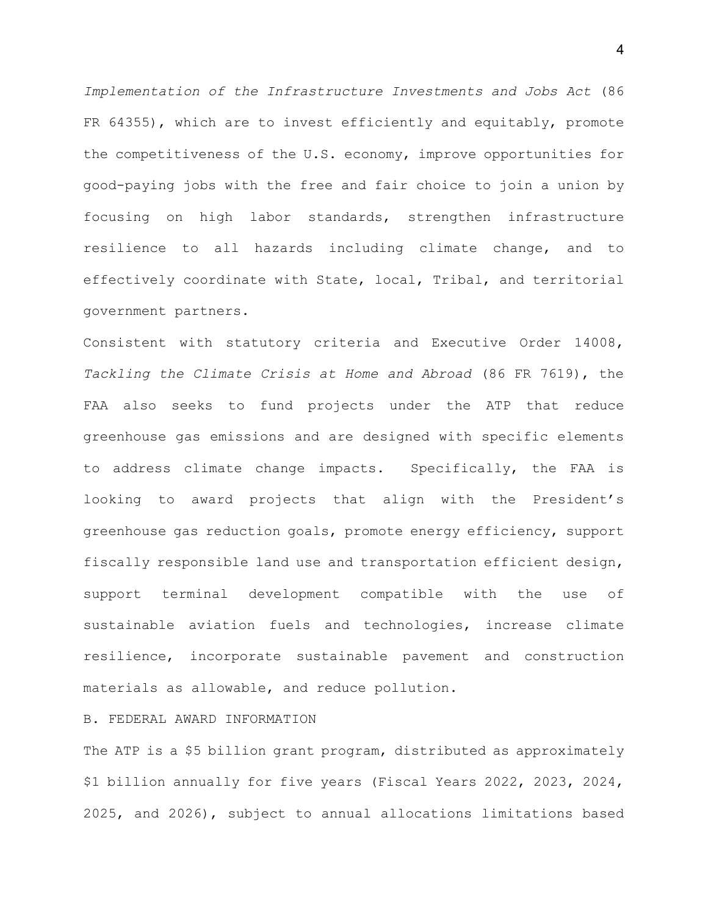*Implementation of the Infrastructure Investments and Jobs Act* (86 FR 64355), which are to invest efficiently and equitably, promote the competitiveness of the U.S. economy, improve opportunities for good-paying jobs with the free and fair choice to join a union by focusing on high labor standards, strengthen infrastructure resilience to all hazards including climate change, and to effectively coordinate with State, local, Tribal, and territorial government partners.

Consistent with statutory criteria and Executive Order 14008, *Tackling the Climate Crisis at Home and Abroad* (86 FR 7619), the FAA also seeks to fund projects under the ATP that reduce greenhouse gas emissions and are designed with specific elements to address climate change impacts. Specifically, the FAA is looking to award projects that align with the President's greenhouse gas reduction goals, promote energy efficiency, support fiscally responsible land use and transportation efficient design, support terminal development compatible with the use of sustainable aviation fuels and technologies, increase climate resilience, incorporate sustainable pavement and construction materials as allowable, and reduce pollution.

B. FEDERAL AWARD INFORMATION

The ATP is a \$5 billion grant program, distributed as approximately \$1 billion annually for five years (Fiscal Years 2022, 2023, 2024, 2025, and 2026), subject to annual allocations limitations based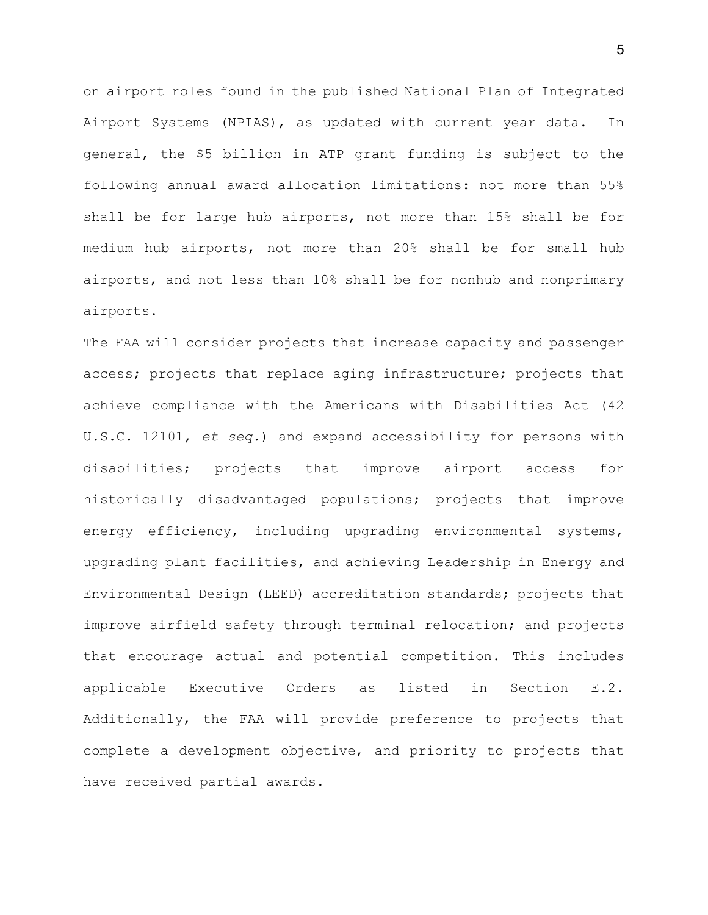on airport roles found in the published National Plan of Integrated Airport Systems (NPIAS), as updated with current year data. In general, the \$5 billion in ATP grant funding is subject to the following annual award allocation limitations: not more than 55% shall be for large hub airports, not more than 15% shall be for medium hub airports, not more than 20% shall be for small hub airports, and not less than 10% shall be for nonhub and nonprimary airports.

The FAA will consider projects that increase capacity and passenger access; projects that replace aging infrastructure; projects that achieve compliance with the Americans with Disabilities Act (42 U.S.C. 12101, *et seq.*) and expand accessibility for persons with disabilities; projects that improve airport access for historically disadvantaged populations; projects that improve energy efficiency, including upgrading environmental systems, upgrading plant facilities, and achieving Leadership in Energy and Environmental Design (LEED) accreditation standards; projects that improve airfield safety through terminal relocation; and projects that encourage actual and potential competition. This includes applicable Executive Orders as listed in Section E.2. Additionally, the FAA will provide preference to projects that complete a development objective, and priority to projects that have received partial awards.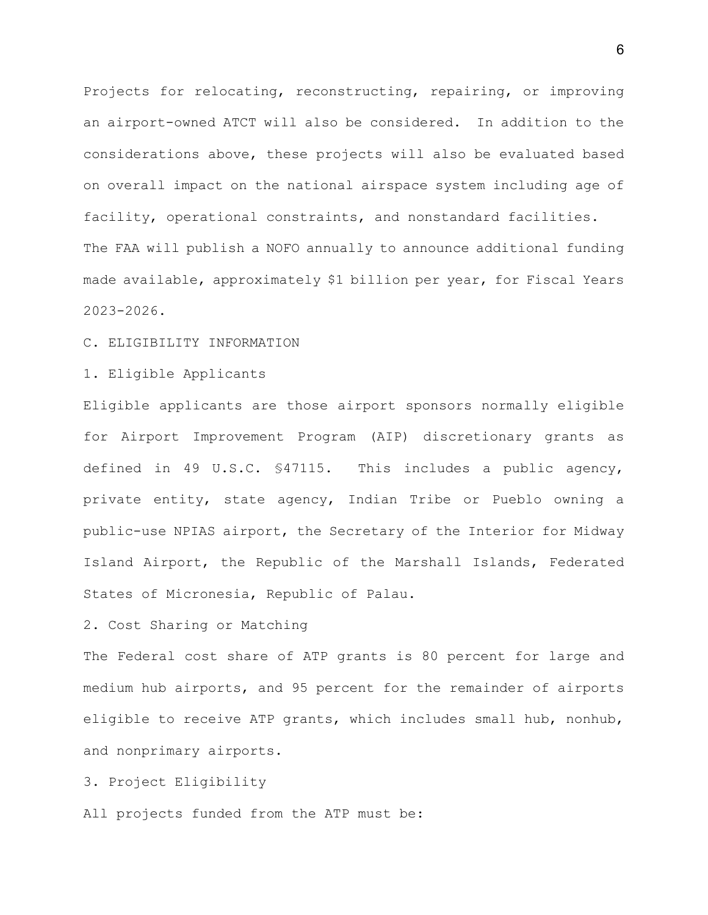Projects for relocating, reconstructing, repairing, or improving an airport-owned ATCT will also be considered. In addition to the considerations above, these projects will also be evaluated based on overall impact on the national airspace system including age of facility, operational constraints, and nonstandard facilities. The FAA will publish a NOFO annually to announce additional funding made available, approximately \$1 billion per year, for Fiscal Years 2023-2026.

C. ELIGIBILITY INFORMATION

1. Eligible Applicants

Eligible applicants are those airport sponsors normally eligible for Airport Improvement Program (AIP) discretionary grants as defined in 49 U.S.C. §47115. This includes a public agency, private entity, state agency, Indian Tribe or Pueblo owning a public-use NPIAS airport, the Secretary of the Interior for Midway Island Airport, the Republic of the Marshall Islands, Federated States of Micronesia, Republic of Palau.

2. Cost Sharing or Matching

The Federal cost share of ATP grants is 80 percent for large and medium hub airports, and 95 percent for the remainder of airports eligible to receive ATP grants, which includes small hub, nonhub, and nonprimary airports.

3. Project Eligibility

All projects funded from the ATP must be: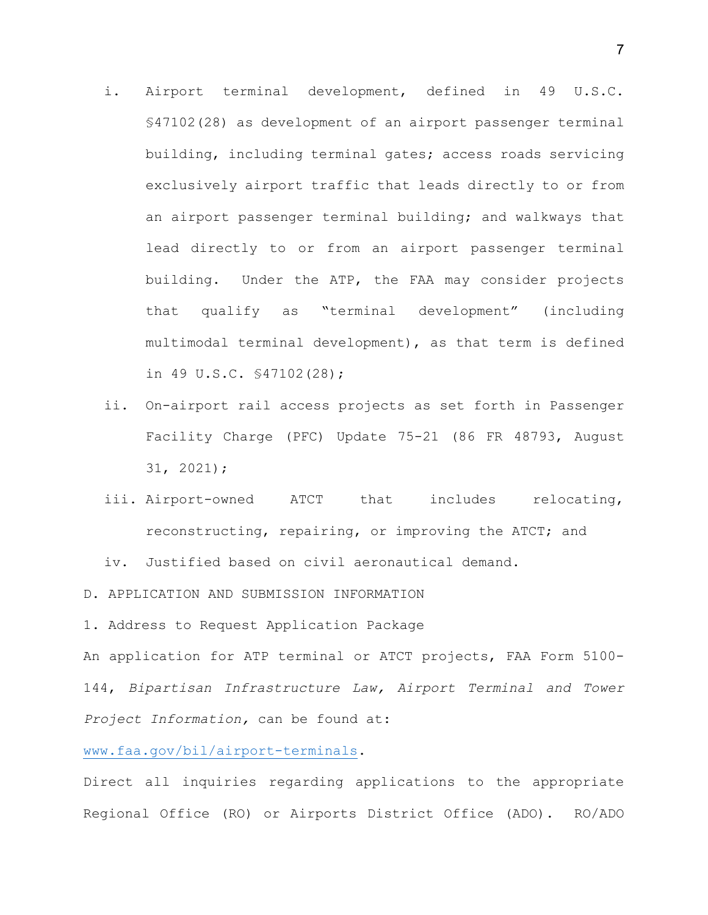- i. Airport terminal development, defined in 49 U.S.C. §47102(28) as development of an airport passenger terminal building, including terminal gates; access roads servicing exclusively airport traffic that leads directly to or from an airport passenger terminal building; and walkways that lead directly to or from an airport passenger terminal building. Under the ATP, the FAA may consider projects that qualify as "terminal development" (including multimodal terminal development), as that term is defined in 49 U.S.C. §47102(28);
- ii. On-airport rail access projects as set forth in Passenger Facility Charge (PFC) Update 75-21 (86 FR 48793, August 31, 2021);
- iii. Airport-owned ATCT that includes relocating, reconstructing, repairing, or improving the ATCT; and

iv. Justified based on civil aeronautical demand.

D. APPLICATION AND SUBMISSION INFORMATION

1. Address to Request Application Package

An application for ATP terminal or ATCT projects, FAA Form 5100- 144, *Bipartisan Infrastructure Law, Airport Terminal and Tower Project Information,* can be found at:

[www.faa.gov/bil/airport-terminals.](http://www.faa.gov/bil/airport-terminals)

Direct all inquiries regarding applications to the appropriate Regional Office (RO) or Airports District Office (ADO). RO/ADO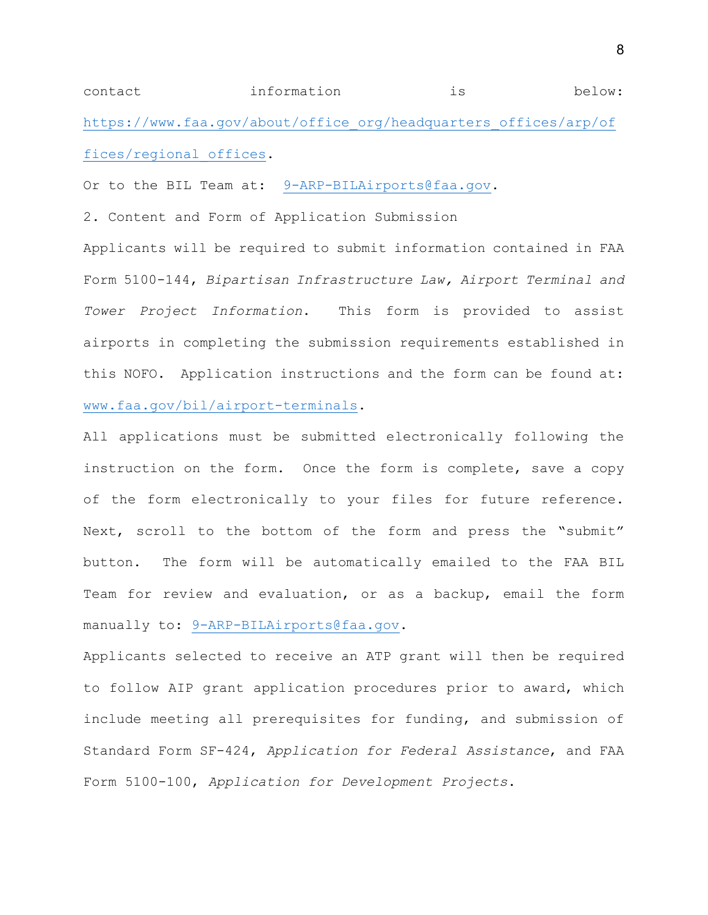contact information is below: [https://www.faa.gov/about/office\\_org/headquarters\\_offices/arp/of](https://www.faa.gov/about/office_org/headquarters_offices/arp/offices/regional_offices) [fices/regional\\_offices.](https://www.faa.gov/about/office_org/headquarters_offices/arp/offices/regional_offices)

Or to the BIL Team at: [9-ARP-BILAirports@faa.gov.](mailto:9-ARP-BILAirports@faa.gov)

2. Content and Form of Application Submission

Applicants will be required to submit information contained in FAA Form 5100-144, *Bipartisan Infrastructure Law, Airport Terminal and Tower Project Information*. This form is provided to assist airports in completing the submission requirements established in this NOFO. Application instructions and the form can be found at: [www.faa.gov/bil/airport-terminals.](http://www.faa.gov/bil/airport-terminals)

All applications must be submitted electronically following the instruction on the form. Once the form is complete, save a copy of the form electronically to your files for future reference. Next, scroll to the bottom of the form and press the "submit" button. The form will be automatically emailed to the FAA BIL Team for review and evaluation, or as a backup, email the form manually to: [9-ARP-BILAirports@faa.gov.](mailto:9-ARP-BILAirports@faa.gov)

Applicants selected to receive an ATP grant will then be required to follow AIP grant application procedures prior to award, which include meeting all prerequisites for funding, and submission of Standard Form SF-424, *Application for Federal Assistance*, and FAA Form 5100-100, *Application for Development Projects*.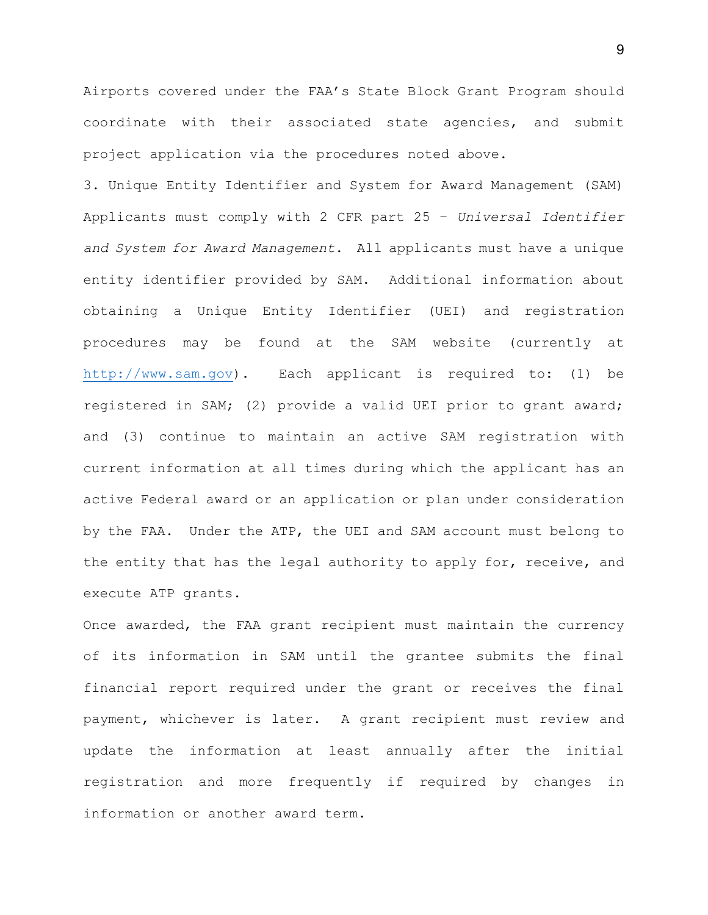Airports covered under the FAA's State Block Grant Program should coordinate with their associated state agencies, and submit project application via the procedures noted above.

3. Unique Entity Identifier and System for Award Management (SAM) Applicants must comply with 2 CFR part 25 – *Universal Identifier and System for Award Management*. All applicants must have a unique entity identifier provided by SAM. Additional information about obtaining a Unique Entity Identifier (UEI) and registration procedures may be found at the SAM website (currently at [http://www.sam.gov\)](http://www.sam.gov/). Each applicant is required to: (1) be registered in SAM; (2) provide a valid UEI prior to grant award; and (3) continue to maintain an active SAM registration with current information at all times during which the applicant has an active Federal award or an application or plan under consideration by the FAA. Under the ATP, the UEI and SAM account must belong to the entity that has the legal authority to apply for, receive, and execute ATP grants.

Once awarded, the FAA grant recipient must maintain the currency of its information in SAM until the grantee submits the final financial report required under the grant or receives the final payment, whichever is later. A grant recipient must review and update the information at least annually after the initial registration and more frequently if required by changes in information or another award term.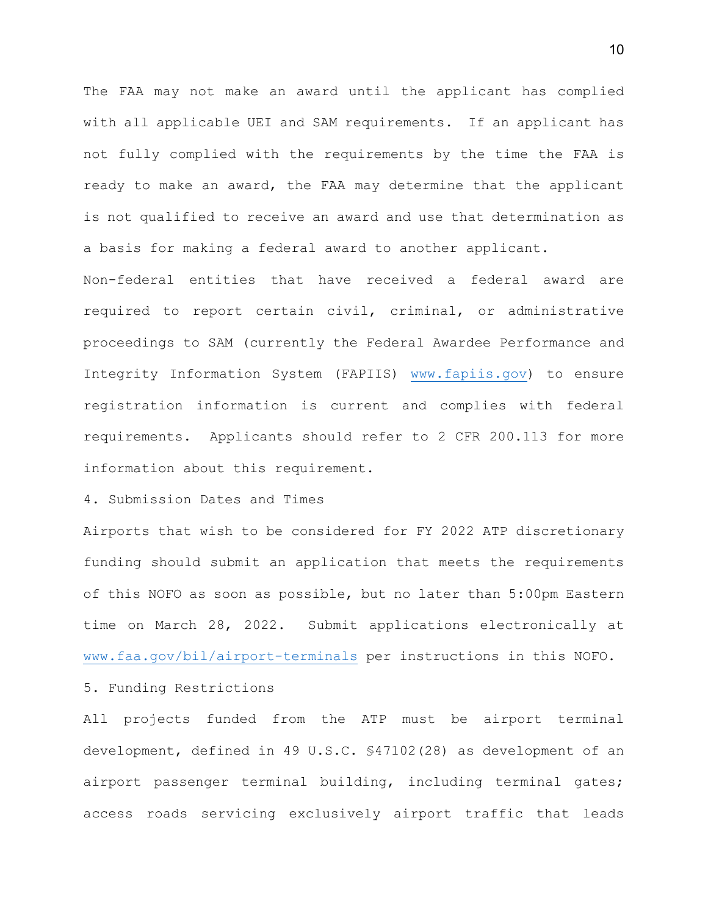The FAA may not make an award until the applicant has complied with all applicable UEI and SAM requirements. If an applicant has not fully complied with the requirements by the time the FAA is ready to make an award, the FAA may determine that the applicant is not qualified to receive an award and use that determination as a basis for making a federal award to another applicant.

Non-federal entities that have received a federal award are required to report certain civil, criminal, or administrative proceedings to SAM (currently the Federal Awardee Performance and Integrity Information System (FAPIIS) [www.fapiis.gov\)](http://www.fapiis.gov/) to ensure registration information is current and complies with federal requirements. Applicants should refer to 2 CFR 200.113 for more information about this requirement.

4. Submission Dates and Times

Airports that wish to be considered for FY 2022 ATP discretionary funding should submit an application that meets the requirements of this NOFO as soon as possible, but no later than 5:00pm Eastern time on March 28, 2022. Submit applications electronically at [www.faa.gov/bil/airport-terminals](http://www.faa.gov/bil/airport-terminals) per instructions in this NOFO.

5. Funding Restrictions

All projects funded from the ATP must be airport terminal development, defined in 49 U.S.C. §47102(28) as development of an airport passenger terminal building, including terminal gates; access roads servicing exclusively airport traffic that leads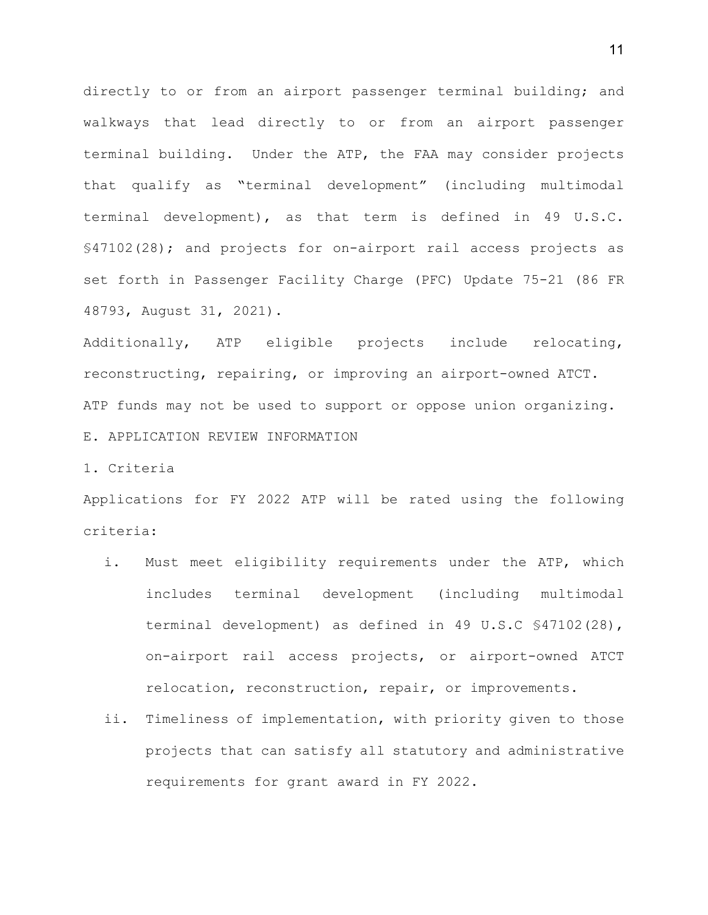directly to or from an airport passenger terminal building; and walkways that lead directly to or from an airport passenger terminal building. Under the ATP, the FAA may consider projects that qualify as "terminal development" (including multimodal terminal development), as that term is defined in 49 U.S.C. §47102(28); and projects for on-airport rail access projects as set forth in Passenger Facility Charge (PFC) Update 75-21 (86 FR 48793, August 31, 2021).

Additionally, ATP eligible projects include relocating, reconstructing, repairing, or improving an airport-owned ATCT. ATP funds may not be used to support or oppose union organizing. E. APPLICATION REVIEW INFORMATION

1. Criteria

Applications for FY 2022 ATP will be rated using the following criteria:

- i. Must meet eligibility requirements under the ATP, which includes terminal development (including multimodal terminal development) as defined in 49 U.S.C §47102(28), on-airport rail access projects, or airport-owned ATCT relocation, reconstruction, repair, or improvements.
- ii. Timeliness of implementation, with priority given to those projects that can satisfy all statutory and administrative requirements for grant award in FY 2022.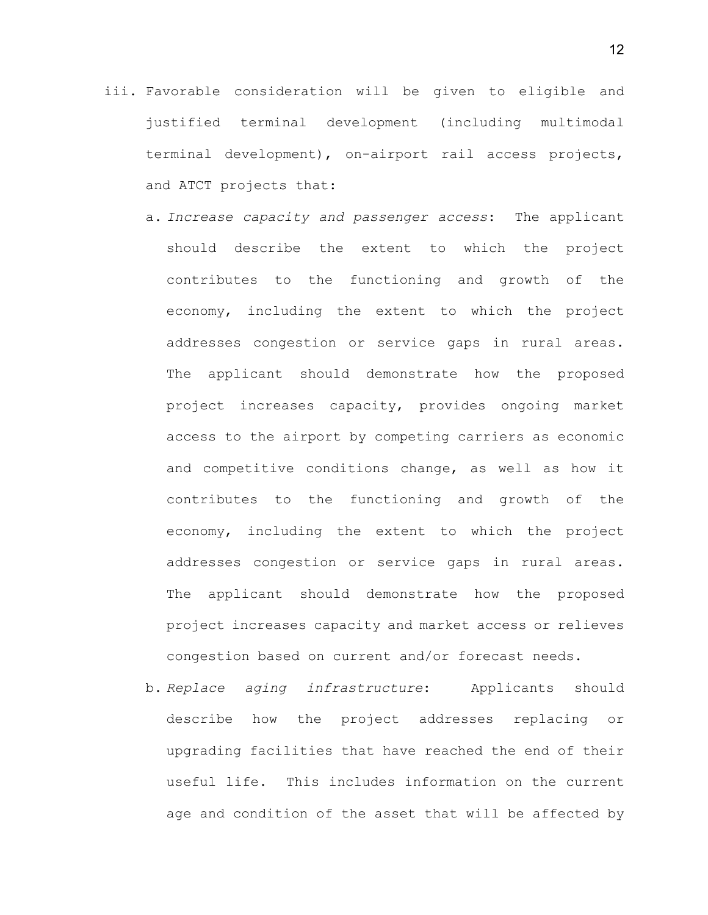- iii. Favorable consideration will be given to eligible and justified terminal development (including multimodal terminal development), on-airport rail access projects, and ATCT projects that:
	- a. *Increase capacity and passenger access*: The applicant should describe the extent to which the project contributes to the functioning and growth of the economy, including the extent to which the project addresses congestion or service gaps in rural areas. The applicant should demonstrate how the proposed project increases capacity, provides ongoing market access to the airport by competing carriers as economic and competitive conditions change, as well as how it contributes to the functioning and growth of the economy, including the extent to which the project addresses congestion or service gaps in rural areas. The applicant should demonstrate how the proposed project increases capacity and market access or relieves congestion based on current and/or forecast needs.
	- b. *Replace aging infrastructure*: Applicants should describe how the project addresses replacing or upgrading facilities that have reached the end of their useful life. This includes information on the current age and condition of the asset that will be affected by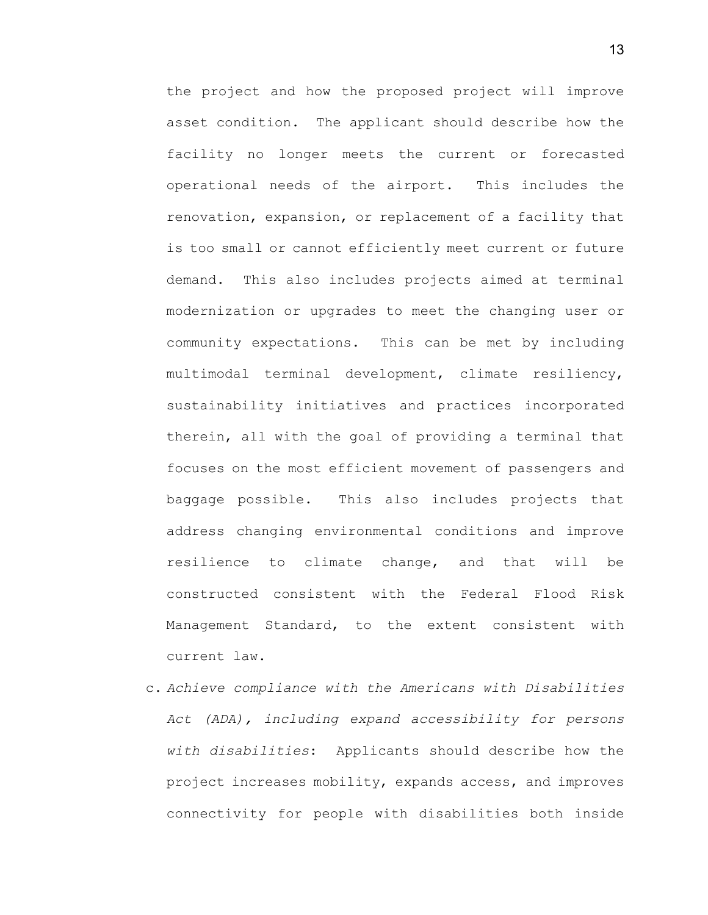the project and how the proposed project will improve asset condition. The applicant should describe how the facility no longer meets the current or forecasted operational needs of the airport. This includes the renovation, expansion, or replacement of a facility that is too small or cannot efficiently meet current or future demand. This also includes projects aimed at terminal modernization or upgrades to meet the changing user or community expectations. This can be met by including multimodal terminal development, climate resiliency, sustainability initiatives and practices incorporated therein, all with the goal of providing a terminal that focuses on the most efficient movement of passengers and baggage possible. This also includes projects that address changing environmental conditions and improve resilience to climate change, and that will be constructed consistent with the Federal Flood Risk Management Standard, to the extent consistent with current law.

c. *Achieve compliance with the Americans with Disabilities Act (ADA), including expand accessibility for persons with disabilities*: Applicants should describe how the project increases mobility, expands access, and improves connectivity for people with disabilities both inside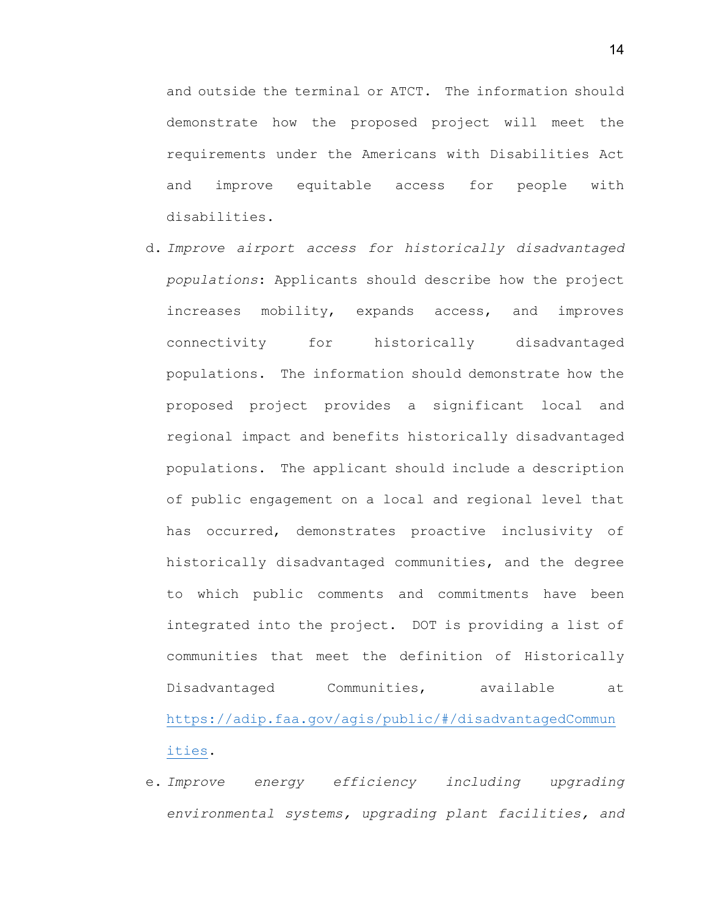and outside the terminal or ATCT. The information should demonstrate how the proposed project will meet the requirements under the Americans with Disabilities Act and improve equitable access for people with disabilities.

- d. *Improve airport access for historically disadvantaged populations*: Applicants should describe how the project increases mobility, expands access, and improves connectivity for historically disadvantaged populations. The information should demonstrate how the proposed project provides a significant local and regional impact and benefits historically disadvantaged populations. The applicant should include a description of public engagement on a local and regional level that has occurred, demonstrates proactive inclusivity of historically disadvantaged communities, and the degree to which public comments and commitments have been integrated into the project. DOT is providing a list of communities that meet the definition of Historically Disadvantaged Communities, available at [https://adip.faa.gov/agis/public/#/disadvantagedCommun](https://adip.faa.gov/agis/public/#/disadvantagedCommunities) [ities.](https://adip.faa.gov/agis/public/#/disadvantagedCommunities)
- e. *Improve energy efficiency including upgrading environmental systems, upgrading plant facilities, and*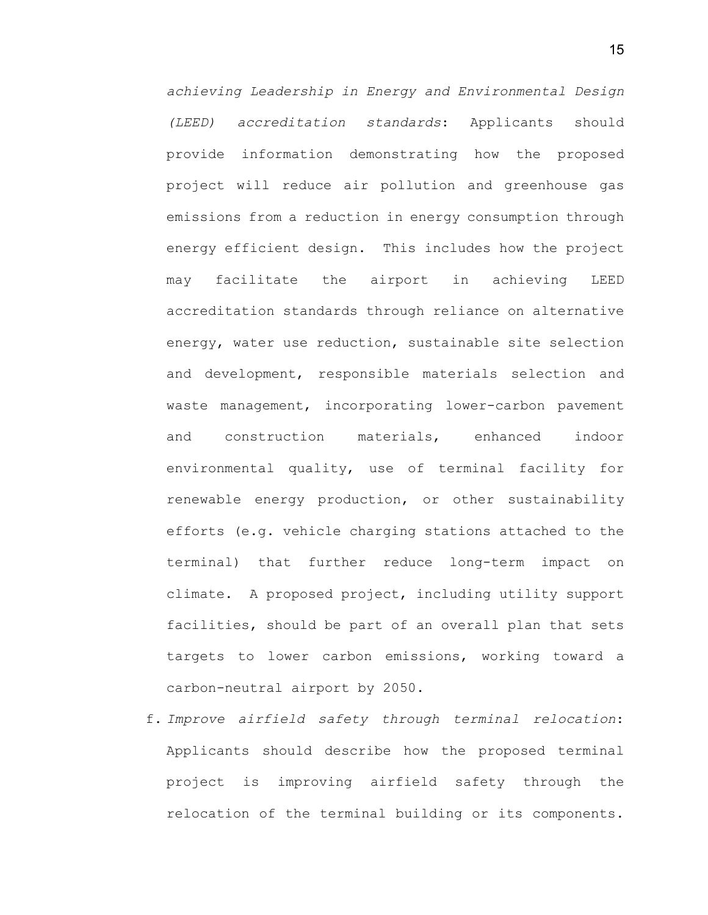*achieving Leadership in Energy and Environmental Design (LEED) accreditation standards*: Applicants should provide information demonstrating how the proposed project will reduce air pollution and greenhouse gas emissions from a reduction in energy consumption through energy efficient design. This includes how the project may facilitate the airport in achieving LEED accreditation standards through reliance on alternative energy, water use reduction, sustainable site selection and development, responsible materials selection and waste management, incorporating lower-carbon pavement and construction materials, enhanced indoor environmental quality, use of terminal facility for renewable energy production, or other sustainability efforts (e.g. vehicle charging stations attached to the terminal) that further reduce long-term impact on climate. A proposed project, including utility support facilities, should be part of an overall plan that sets targets to lower carbon emissions, working toward a carbon-neutral airport by 2050.

f. *Improve airfield safety through terminal relocation*: Applicants should describe how the proposed terminal project is improving airfield safety through the relocation of the terminal building or its components.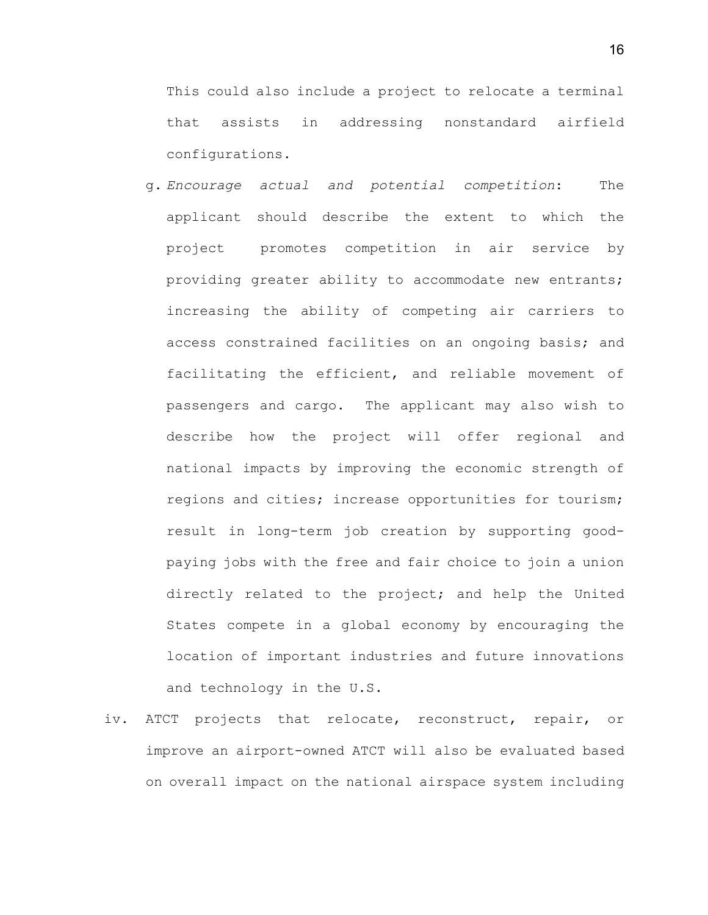This could also include a project to relocate a terminal that assists in addressing nonstandard airfield configurations.

- g. *Encourage actual and potential competition*: The applicant should describe the extent to which the project promotes competition in air service by providing greater ability to accommodate new entrants; increasing the ability of competing air carriers to access constrained facilities on an ongoing basis; and facilitating the efficient, and reliable movement of passengers and cargo. The applicant may also wish to describe how the project will offer regional and national impacts by improving the economic strength of regions and cities; increase opportunities for tourism; result in long-term job creation by supporting goodpaying jobs with the free and fair choice to join a union directly related to the project; and help the United States compete in a global economy by encouraging the location of important industries and future innovations and technology in the U.S.
- iv. ATCT projects that relocate, reconstruct, repair, or improve an airport-owned ATCT will also be evaluated based on overall impact on the national airspace system including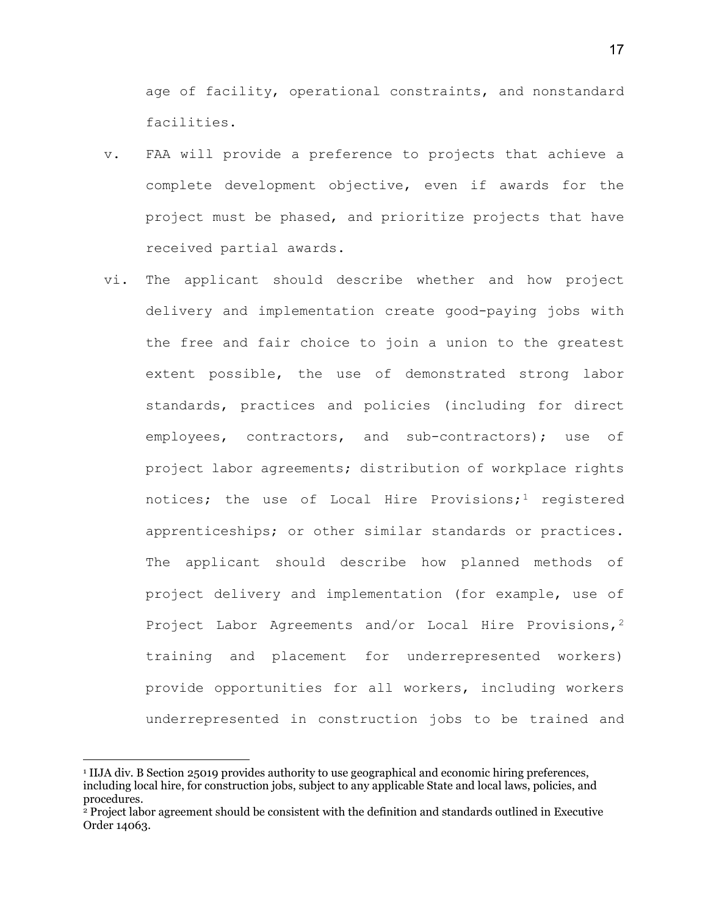age of facility, operational constraints, and nonstandard facilities.

- v. FAA will provide a preference to projects that achieve a complete development objective, even if awards for the project must be phased, and prioritize projects that have received partial awards.
- vi. The applicant should describe whether and how project delivery and implementation create good-paying jobs with the free and fair choice to join a union to the greatest extent possible, the use of demonstrated strong labor standards, practices and policies (including for direct employees, contractors, and sub-contractors); use of project labor agreements; distribution of workplace rights notices; the use of Local Hire Provisions;<sup>[1](#page-16-0)</sup> registered apprenticeships; or other similar standards or practices. The applicant should describe how planned methods of project delivery and implementation (for example, use of Project Labor Agreements and/or Local Hire Provisions,<sup>[2](#page-16-1)</sup> training and placement for underrepresented workers) provide opportunities for all workers, including workers underrepresented in construction jobs to be trained and

 $\overline{a}$ 

<span id="page-16-0"></span><sup>1</sup> IIJA div. B Section 25019 provides authority to use geographical and economic hiring preferences, including local hire, for construction jobs, subject to any applicable State and local laws, policies, and procedures.

<span id="page-16-1"></span><sup>2</sup> Project labor agreement should be consistent with the definition and standards outlined in Executive Order 14063.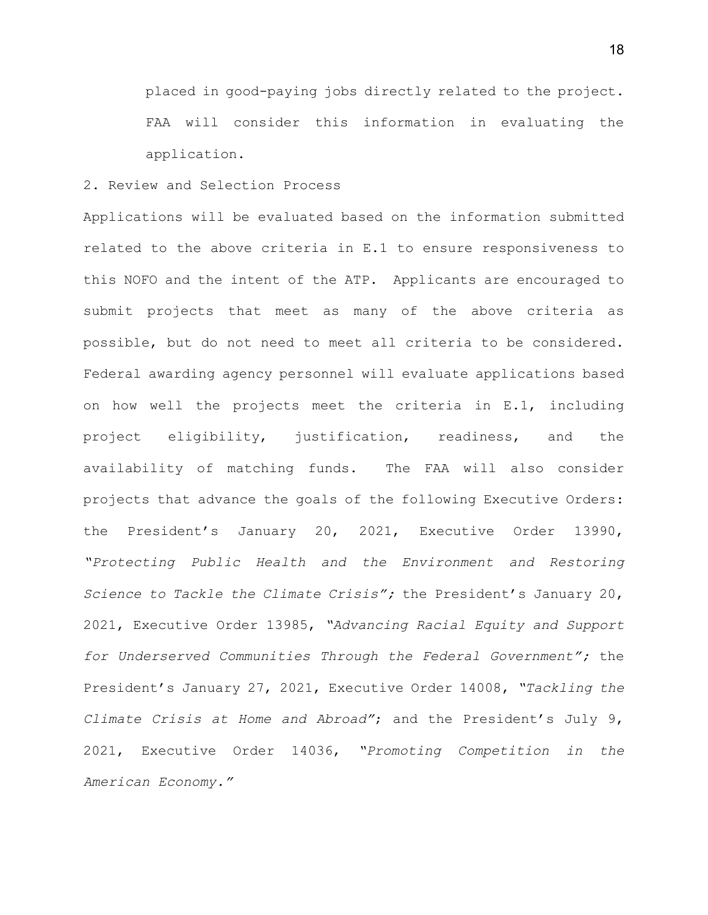placed in good-paying jobs directly related to the project. FAA will consider this information in evaluating the application.

## 2. Review and Selection Process

Applications will be evaluated based on the information submitted related to the above criteria in E.1 to ensure responsiveness to this NOFO and the intent of the ATP. Applicants are encouraged to submit projects that meet as many of the above criteria as possible, but do not need to meet all criteria to be considered. Federal awarding agency personnel will evaluate applications based on how well the projects meet the criteria in E.1, including project eligibility, justification, readiness, and the availability of matching funds. The FAA will also consider projects that advance the goals of the following Executive Orders: the President's January 20, 2021, Executive Order 13990, *"Protecting Public Health and the Environment and Restoring Science to Tackle the Climate Crisis";* the President's January 20, 2021, Executive Order 13985, *"Advancing Racial Equity and Support for Underserved Communities Through the Federal Government";* the President's January 27, 2021, Executive Order 14008, *"Tackling the Climate Crisis at Home and Abroad"*; and the President's July 9, 2021, Executive Order 14036, *"Promoting Competition in the American Economy."*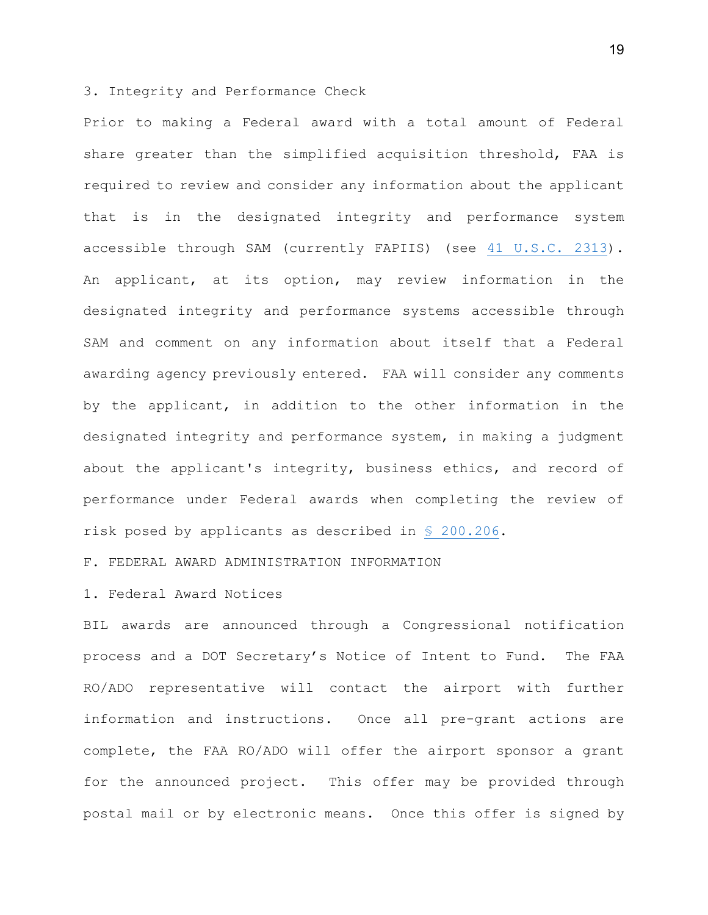### 3. Integrity and Performance Check

Prior to making a Federal award with a total amount of Federal share greater than the simplified acquisition threshold, FAA is required to review and consider any information about the applicant that is in the designated integrity and performance system accessible through SAM (currently FAPIIS) (see [41 U.S.C. 2313\)](https://www.law.cornell.edu/uscode/text/41/2313). An applicant, at its option, may review information in the designated integrity and performance systems accessible through SAM and comment on any information about itself that a Federal awarding agency previously entered. FAA will consider any comments by the applicant, in addition to the other information in the designated integrity and performance system, in making a judgment about the applicant's integrity, business ethics, and record of performance under Federal awards when completing the review of risk posed by applicants as described in [§ 200.206.](https://www.law.cornell.edu/cfr/text/2/200.206)

F. FEDERAL AWARD ADMINISTRATION INFORMATION

1. Federal Award Notices

BIL awards are announced through a Congressional notification process and a DOT Secretary's Notice of Intent to Fund. The FAA RO/ADO representative will contact the airport with further information and instructions. Once all pre-grant actions are complete, the FAA RO/ADO will offer the airport sponsor a grant for the announced project. This offer may be provided through postal mail or by electronic means. Once this offer is signed by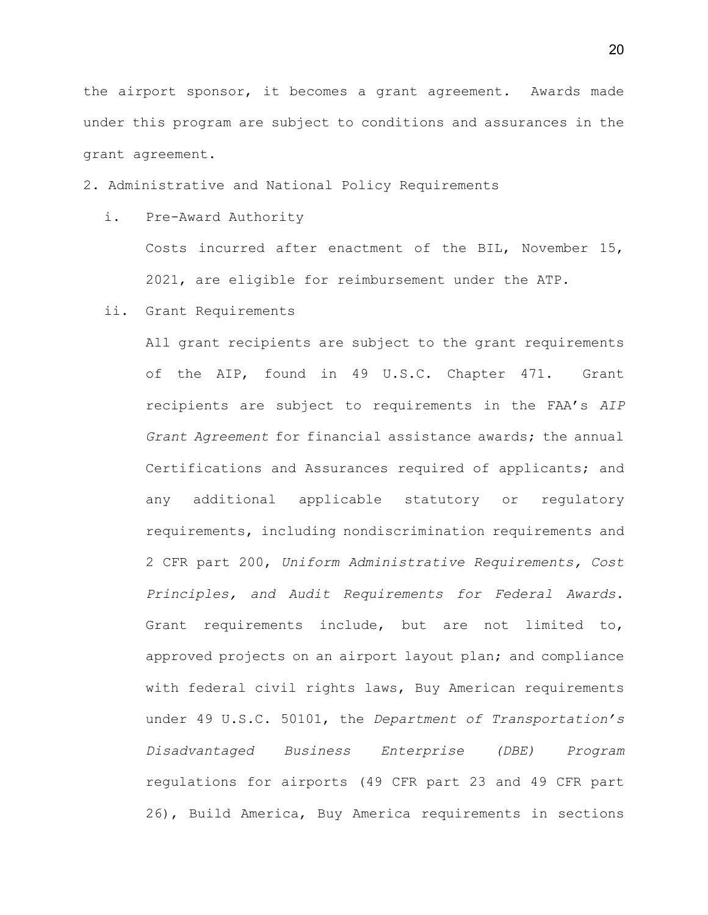the airport sponsor, it becomes a grant agreement. Awards made under this program are subject to conditions and assurances in the grant agreement.

2. Administrative and National Policy Requirements

i. Pre-Award Authority

Costs incurred after enactment of the BIL, November 15, 2021, are eligible for reimbursement under the ATP.

ii. Grant Requirements

All grant recipients are subject to the grant requirements of the AIP, found in 49 U.S.C. Chapter 471. Grant recipients are subject to requirements in the FAA's *AIP Grant Agreement* for financial assistance awards; the annual Certifications and Assurances required of applicants; and any additional applicable statutory or regulatory requirements, including nondiscrimination requirements and 2 CFR part 200, *Uniform Administrative Requirements, Cost Principles, and Audit Requirements for Federal Awards*. Grant requirements include, but are not limited to, approved projects on an airport layout plan; and compliance with federal civil rights laws, Buy American requirements under 49 U.S.C. 50101, the *Department of Transportation's Disadvantaged Business Enterprise (DBE) Program* regulations for airports (49 CFR part 23 and 49 CFR part 26), Build America, Buy America requirements in sections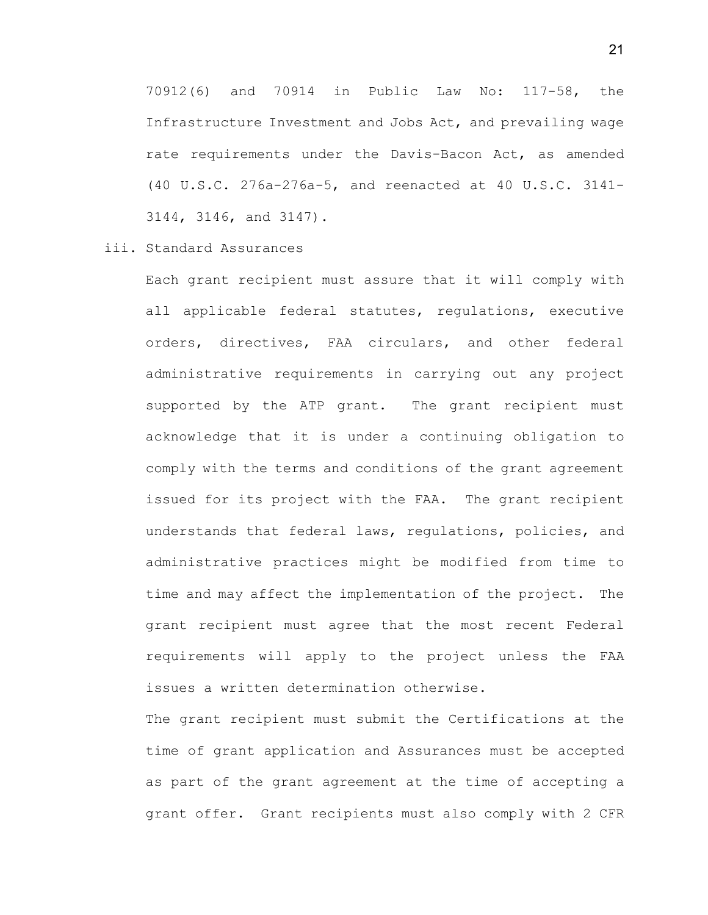70912(6) and 70914 in Public Law No: 117-58, the Infrastructure Investment and Jobs Act, and prevailing wage rate requirements under the Davis-Bacon Act, as amended (40 U.S.C. 276a-276a-5, and reenacted at 40 U.S.C. 3141- 3144, 3146, and 3147).

# iii. Standard Assurances

Each grant recipient must assure that it will comply with all applicable federal statutes, regulations, executive orders, directives, FAA circulars, and other federal administrative requirements in carrying out any project supported by the ATP grant. The grant recipient must acknowledge that it is under a continuing obligation to comply with the terms and conditions of the grant agreement issued for its project with the FAA. The grant recipient understands that federal laws, regulations, policies, and administrative practices might be modified from time to time and may affect the implementation of the project. The grant recipient must agree that the most recent Federal requirements will apply to the project unless the FAA issues a written determination otherwise.

The grant recipient must submit the Certifications at the time of grant application and Assurances must be accepted as part of the grant agreement at the time of accepting a grant offer. Grant recipients must also comply with 2 CFR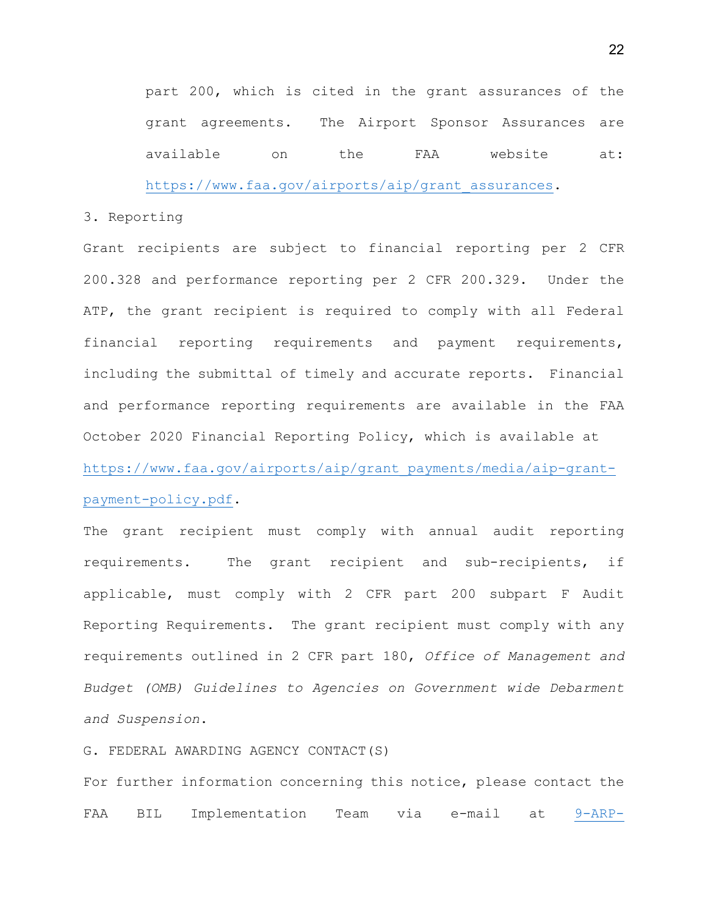part 200, which is cited in the grant assurances of the grant agreements. The Airport Sponsor Assurances are available on the FAA website at:

[https://www.faa.gov/airports/aip/grant\\_assurances.](https://www.faa.gov/airports/aip/grant_assurances)

# 3. Reporting

Grant recipients are subject to financial reporting per 2 CFR 200.328 and performance reporting per 2 CFR 200.329. Under the ATP, the grant recipient is required to comply with all Federal financial reporting requirements and payment requirements, including the submittal of timely and accurate reports. Financial and performance reporting requirements are available in the FAA October 2020 Financial Reporting Policy, which is available at [https://www.faa.gov/airports/aip/grant\\_payments/media/aip-grant](https://www.faa.gov/airports/aip/grant_payments/media/aip-grant-payment-policy.pdf)[payment-policy.pdf.](https://www.faa.gov/airports/aip/grant_payments/media/aip-grant-payment-policy.pdf)

The grant recipient must comply with annual audit reporting requirements. The grant recipient and sub-recipients, if applicable, must comply with 2 CFR part 200 subpart F Audit Reporting Requirements. The grant recipient must comply with any requirements outlined in 2 CFR part 180, *Office of Management and Budget (OMB) Guidelines to Agencies on Government wide Debarment and Suspension*.

G. FEDERAL AWARDING AGENCY CONTACT(S)

For further information concerning this notice, please contact the FAA BIL Implementation Team via e-mail at [9-ARP-](mailto:9-ARP-BILAirports@faa.gov)